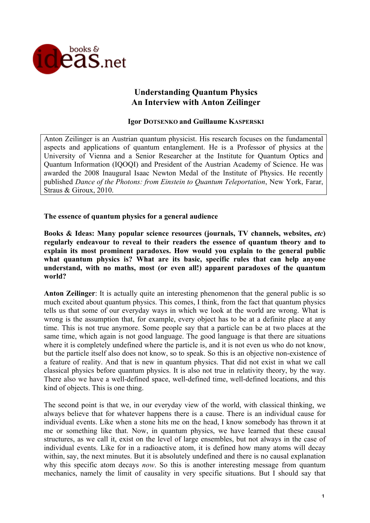

# **Understanding Quantum Physics An Interview with Anton Zeilinger**

### **Igor DOTSENKO and Guillaume KASPERSKI**

Anton Zeilinger is an Austrian quantum physicist. His research focuses on the fundamental aspects and applications of quantum entanglement. He is a Professor of physics at the University of Vienna and a Senior Researcher at the Institute for Quantum Optics and Quantum Information (IQOQI) and President of the Austrian Academy of Science. He was awarded the 2008 Inaugural Isaac Newton Medal of the Institute of Physics. He recently published *Dance of the Photons: from Einstein to Quantum Teleportation*, New York, Farar, Straus & Giroux, 2010.

**The essence of quantum physics for a general audience**

**Books & Ideas: Many popular science resources (journals, TV channels, websites,** *etc***) regularly endeavour to reveal to their readers the essence of quantum theory and to explain its most prominent paradoxes. How would you explain to the general public what quantum physics is? What are its basic, specific rules that can help anyone understand, with no maths, most (or even all!) apparent paradoxes of the quantum world?**

**Anton Zeilinger**: It is actually quite an interesting phenomenon that the general public is so much excited about quantum physics. This comes, I think, from the fact that quantum physics tells us that some of our everyday ways in which we look at the world are wrong. What is wrong is the assumption that, for example, every object has to be at a definite place at any time. This is not true anymore. Some people say that a particle can be at two places at the same time, which again is not good language. The good language is that there are situations where it is completely undefined where the particle is, and it is not even us who do not know, but the particle itself also does not know, so to speak. So this is an objective non-existence of a feature of reality. And that is new in quantum physics. That did not exist in what we call classical physics before quantum physics. It is also not true in relativity theory, by the way. There also we have a well-defined space, well-defined time, well-defined locations, and this kind of objects. This is one thing.

The second point is that we, in our everyday view of the world, with classical thinking, we always believe that for whatever happens there is a cause. There is an individual cause for individual events. Like when a stone hits me on the head, I know somebody has thrown it at me or something like that. Now, in quantum physics, we have learned that these causal structures, as we call it, exist on the level of large ensembles, but not always in the case of individual events. Like for in a radioactive atom, it is defined how many atoms will decay within, say, the next minutes. But it is absolutely undefined and there is no causal explanation why this specific atom decays *now*. So this is another interesting message from quantum mechanics, namely the limit of causality in very specific situations. But I should say that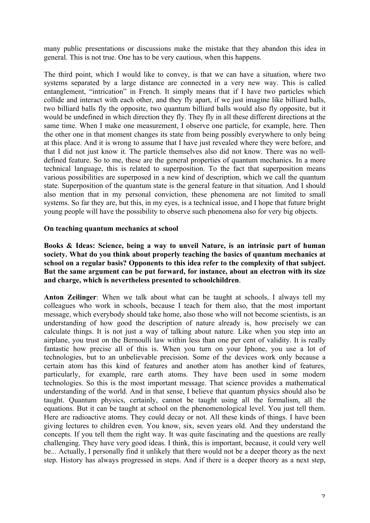many public presentations or discussions make the mistake that they abandon this idea in general. This is not true. One has to be very cautious, when this happens.

The third point, which I would like to convey, is that we can have a situation, where two systems separated by a large distance are connected in a very new way. This is called entanglement, "intrication" in French. It simply means that if I have two particles which collide and interact with each other, and they fly apart, if we just imagine like billiard balls, two billiard balls fly the opposite, two quantum billiard balls would also fly opposite, but it would be undefined in which direction they fly. They fly in all these different directions at the same time. When I make one measurement, I observe one particle, for example, here. Then the other one in that moment changes its state from being possibly everywhere to only being at this place. And it is wrong to assume that I have just revealed where they were before, and that I did not just know it. The particle themselves also did not know. There was no welldefined feature. So to me, these are the general properties of quantum mechanics. In a more technical language, this is related to superposition. To the fact that superposition means various possibilities are superposed in a new kind of description, which we call the quantum state. Superposition of the quantum state is the general feature in that situation. And I should also mention that in my personal conviction, these phenomena are not limited to small systems. So far they are, but this, in my eyes, is a technical issue, and I hope that future bright young people will have the possibility to observe such phenomena also for very big objects.

#### **On teaching quantum mechanics at school**

**Books & Ideas: Science, being a way to unveil Nature, is an intrinsic part of human society. What do you think about properly teaching the basics of quantum mechanics at school on a regular basis? Opponents to this idea refer to the complexity of that subject. But the same argument can be put forward, for instance, about an electron with its size and charge, which is nevertheless presented to schoolchildren**.

**Anton Zeilinger**: When we talk about what can be taught at schools, I always tell my colleagues who work in schools, because I teach for them also, that the most important message, which everybody should take home, also those who will not become scientists, is an understanding of how good the description of nature already is, how precisely we can calculate things. It is not just a way of talking about nature. Like when you step into an airplane, you trust on the Bernoulli law within less than one per cent of validity. It is really fantastic how precise all of this is. When you turn on your Iphone, you use a lot of technologies, but to an unbelievable precision. Some of the devices work only because a certain atom has this kind of features and another atom has another kind of features, particularly, for example, rare earth atoms. They have been used in some modern technologies. So this is the most important message. That science provides a mathematical understanding of the world. And in that sense, I believe that quantum physics should also be taught. Quantum physics, certainly, cannot be taught using all the formalism, all the equations. But it can be taught at school on the phenomenological level. You just tell them. Here are radioactive atoms. They could decay or not. All these kinds of things. I have been giving lectures to children even. You know, six, seven years old. And they understand the concepts. If you tell them the right way. It was quite fascinating and the questions are really challenging. They have very good ideas. I think, this is important, because, it could very well be... Actually, I personally find it unlikely that there would not be a deeper theory as the next step. History has always progressed in steps. And if there is a deeper theory as a next step,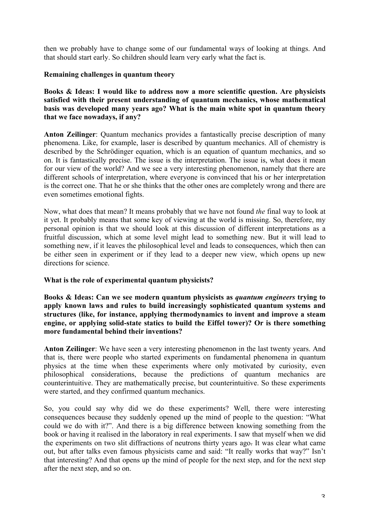then we probably have to change some of our fundamental ways of looking at things. And that should start early. So children should learn very early what the fact is.

## **Remaining challenges in quantum theory**

**Books & Ideas: I would like to address now a more scientific question. Are physicists satisfied with their present understanding of quantum mechanics, whose mathematical basis was developed many years ago? What is the main white spot in quantum theory that we face nowadays, if any?**

**Anton Zeilinger**: Quantum mechanics provides a fantastically precise description of many phenomena. Like, for example, laser is described by quantum mechanics. All of chemistry is described by the Schrödinger equation, which is an equation of quantum mechanics, and so on. It is fantastically precise. The issue is the interpretation. The issue is, what does it mean for our view of the world? And we see a very interesting phenomenon, namely that there are different schools of interpretation, where everyone is convinced that his or her interpretation is the correct one. That he or she thinks that the other ones are completely wrong and there are even sometimes emotional fights.

Now, what does that mean? It means probably that we have not found *the* final way to look at it yet. It probably means that some key of viewing at the world is missing. So, therefore, my personal opinion is that we should look at this discussion of different interpretations as a fruitful discussion, which at some level might lead to something new. But it will lead to something new, if it leaves the philosophical level and leads to consequences, which then can be either seen in experiment or if they lead to a deeper new view, which opens up new directions for science.

## **What is the role of experimental quantum physicists?**

**Books & Ideas: Can we see modern quantum physicists as** *quantum engineers* **trying to apply known laws and rules to build increasingly sophisticated quantum systems and structures (like, for instance, applying thermodynamics to invent and improve a steam engine, or applying solid-state statics to build the Eiffel tower)? Or is there something more fundamental behind their inventions?**

**Anton Zeilinger**: We have seen a very interesting phenomenon in the last twenty years. And that is, there were people who started experiments on fundamental phenomena in quantum physics at the time when these experiments where only motivated by curiosity, even philosophical considerations, because the predictions of quantum mechanics are counterintuitive. They are mathematically precise, but counterintuitive. So these experiments were started, and they confirmed quantum mechanics.

So, you could say why did we do these experiments? Well, there were interesting consequences because they suddenly opened up the mind of people to the question: "What could we do with it?". And there is a big difference between knowing something from the book or having it realised in the laboratory in real experiments. I saw that myself when we did the experiments on two slit diffractions of neutrons thirty years ago. It was clear what came out, but after talks even famous physicists came and said: "It really works that way?" Isn't that interesting? And that opens up the mind of people for the next step, and for the next step after the next step, and so on.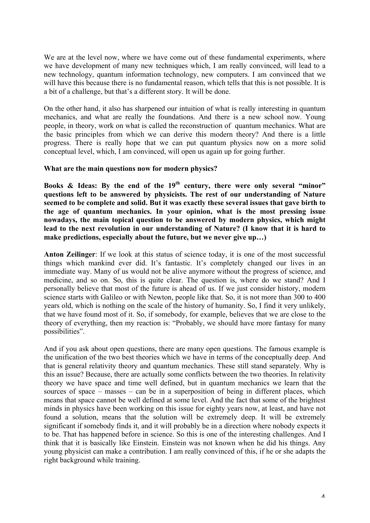We are at the level now, where we have come out of these fundamental experiments, where we have development of many new techniques which, I am really convinced, will lead to a new technology, quantum information technology, new computers. I am convinced that we will have this because there is no fundamental reason, which tells that this is not possible. It is a bit of a challenge, but that's a different story. It will be done.

On the other hand, it also has sharpened our intuition of what is really interesting in quantum mechanics, and what are really the foundations. And there is a new school now. Young people, in theory, work on what is called the reconstruction of quantum mechanics. What are the basic principles from which we can derive this modern theory? And there is a little progress. There is really hope that we can put quantum physics now on a more solid conceptual level, which, I am convinced, will open us again up for going further.

#### **What are the main questions now for modern physics?**

**Books & Ideas: By the end of the 19th century, there were only several "minor" questions left to be answered by physicists. The rest of our understanding of Nature seemed to be complete and solid. But it was exactly these several issues that gave birth to the age of quantum mechanics. In your opinion, what is the most pressing issue nowadays, the main topical question to be answered by modern physics, which might lead to the next revolution in our understanding of Nature? (I know that it is hard to make predictions, especially about the future, but we never give up…)**

**Anton Zeilinger**: If we look at this status of science today, it is one of the most successful things which mankind ever did. It's fantastic. It's completely changed our lives in an immediate way. Many of us would not be alive anymore without the progress of science, and medicine, and so on. So, this is quite clear. The question is, where do we stand? And I personally believe that most of the future is ahead of us. If we just consider history, modern science starts with Galileo or with Newton, people like that. So, it is not more than 300 to 400 years old, which is nothing on the scale of the history of humanity. So, I find it very unlikely, that we have found most of it. So, if somebody, for example, believes that we are close to the theory of everything, then my reaction is: "Probably, we should have more fantasy for many possibilities".

And if you ask about open questions, there are many open questions. The famous example is the unification of the two best theories which we have in terms of the conceptually deep. And that is general relativity theory and quantum mechanics. These still stand separately. Why is this an issue? Because, there are actually some conflicts between the two theories. In relativity theory we have space and time well defined, but in quantum mechanics we learn that the sources of space – masses – can be in a superposition of being in different places, which means that space cannot be well defined at some level. And the fact that some of the brightest minds in physics have been working on this issue for eighty years now, at least, and have not found a solution, means that the solution will be extremely deep. It will be extremely significant if somebody finds it, and it will probably be in a direction where nobody expects it to be. That has happened before in science. So this is one of the interesting challenges. And I think that it is basically like Einstein. Einstein was not known when he did his things. Any young physicist can make a contribution. I am really convinced of this, if he or she adapts the right background while training.